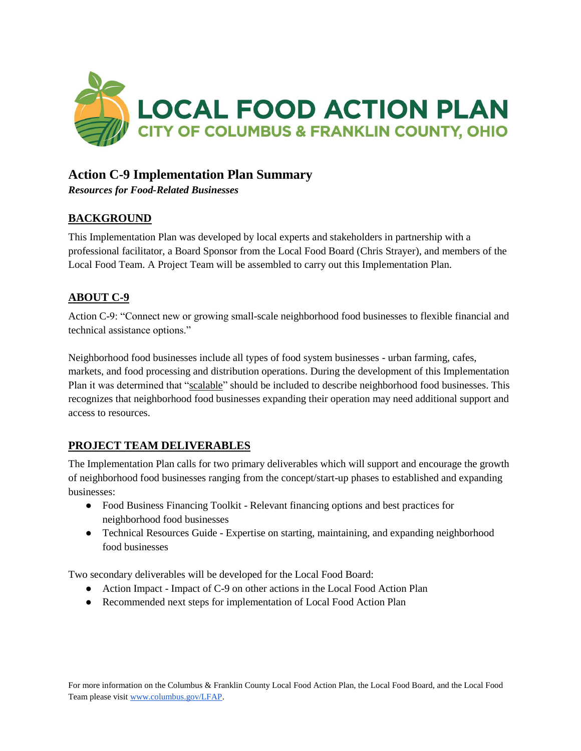

## **Action C-9 Implementation Plan Summary**

*Resources for Food-Related Businesses*

#### **BACKGROUND**

This Implementation Plan was developed by local experts and stakeholders in partnership with a professional facilitator, a Board Sponsor from the Local Food Board (Chris Strayer), and members of the Local Food Team. A Project Team will be assembled to carry out this Implementation Plan.

#### **ABOUT C-9**

Action C-9: "Connect new or growing small-scale neighborhood food businesses to flexible financial and technical assistance options."

Neighborhood food businesses include all types of food system businesses - urban farming, cafes, markets, and food processing and distribution operations. During the development of this Implementation Plan it was determined that "scalable" should be included to describe neighborhood food businesses. This recognizes that neighborhood food businesses expanding their operation may need additional support and access to resources.

### **PROJECT TEAM DELIVERABLES**

The Implementation Plan calls for two primary deliverables which will support and encourage the growth of neighborhood food businesses ranging from the concept/start-up phases to established and expanding businesses:

- Food Business Financing Toolkit Relevant financing options and best practices for neighborhood food businesses
- Technical Resources Guide Expertise on starting, maintaining, and expanding neighborhood food businesses

Two secondary deliverables will be developed for the Local Food Board:

- Action Impact Impact of C-9 on other actions in the Local Food Action Plan
- Recommended next steps for implementation of Local Food Action Plan